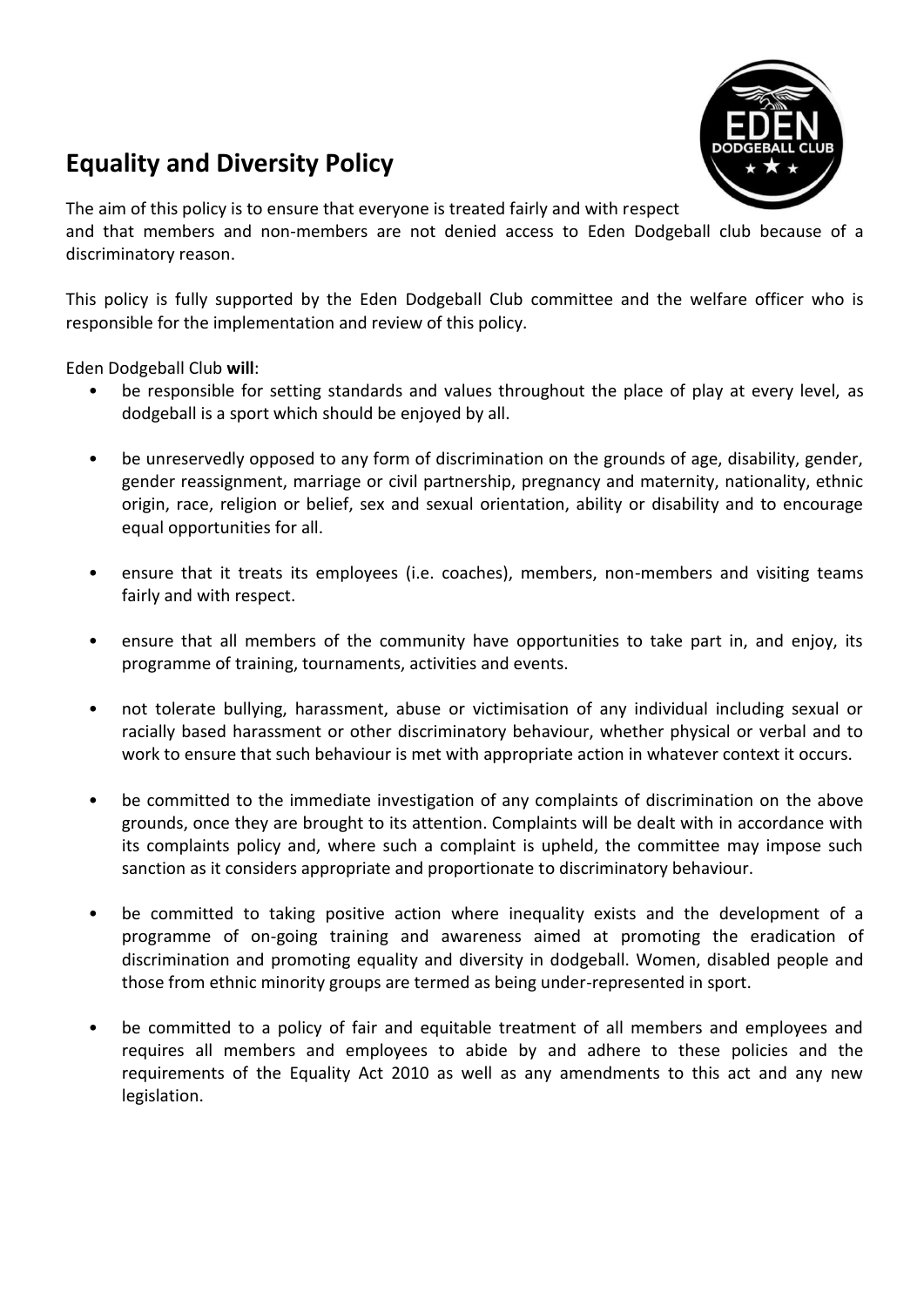## **Equality and Diversity Policy**



The aim of this policy is to ensure that everyone is treated fairly and with respect

and that members and non-members are not denied access to Eden Dodgeball club because of a discriminatory reason.

This policy is fully supported by the Eden Dodgeball Club committee and the welfare officer who is responsible for the implementation and review of this policy.

Eden Dodgeball Club **will**:

- be responsible for setting standards and values throughout the place of play at every level, as dodgeball is a sport which should be enjoyed by all.
- be unreservedly opposed to any form of discrimination on the grounds of age, disability, gender, gender reassignment, marriage or civil partnership, pregnancy and maternity, nationality, ethnic origin, race, religion or belief, sex and sexual orientation, ability or disability and to encourage equal opportunities for all.
- ensure that it treats its employees (i.e. coaches), members, non-members and visiting teams fairly and with respect.
- ensure that all members of the community have opportunities to take part in, and enjoy, its programme of training, tournaments, activities and events.
- not tolerate bullying, harassment, abuse or victimisation of any individual including sexual or racially based harassment or other discriminatory behaviour, whether physical or verbal and to work to ensure that such behaviour is met with appropriate action in whatever context it occurs.
- be committed to the immediate investigation of any complaints of discrimination on the above grounds, once they are brought to its attention. Complaints will be dealt with in accordance with its complaints policy and, where such a complaint is upheld, the committee may impose such sanction as it considers appropriate and proportionate to discriminatory behaviour.
- be committed to taking positive action where inequality exists and the development of a programme of on-going training and awareness aimed at promoting the eradication of discrimination and promoting equality and diversity in dodgeball. Women, disabled people and those from ethnic minority groups are termed as being under-represented in sport.
- be committed to a policy of fair and equitable treatment of all members and employees and requires all members and employees to abide by and adhere to these policies and the requirements of the Equality Act 2010 as well as any amendments to this act and any new legislation.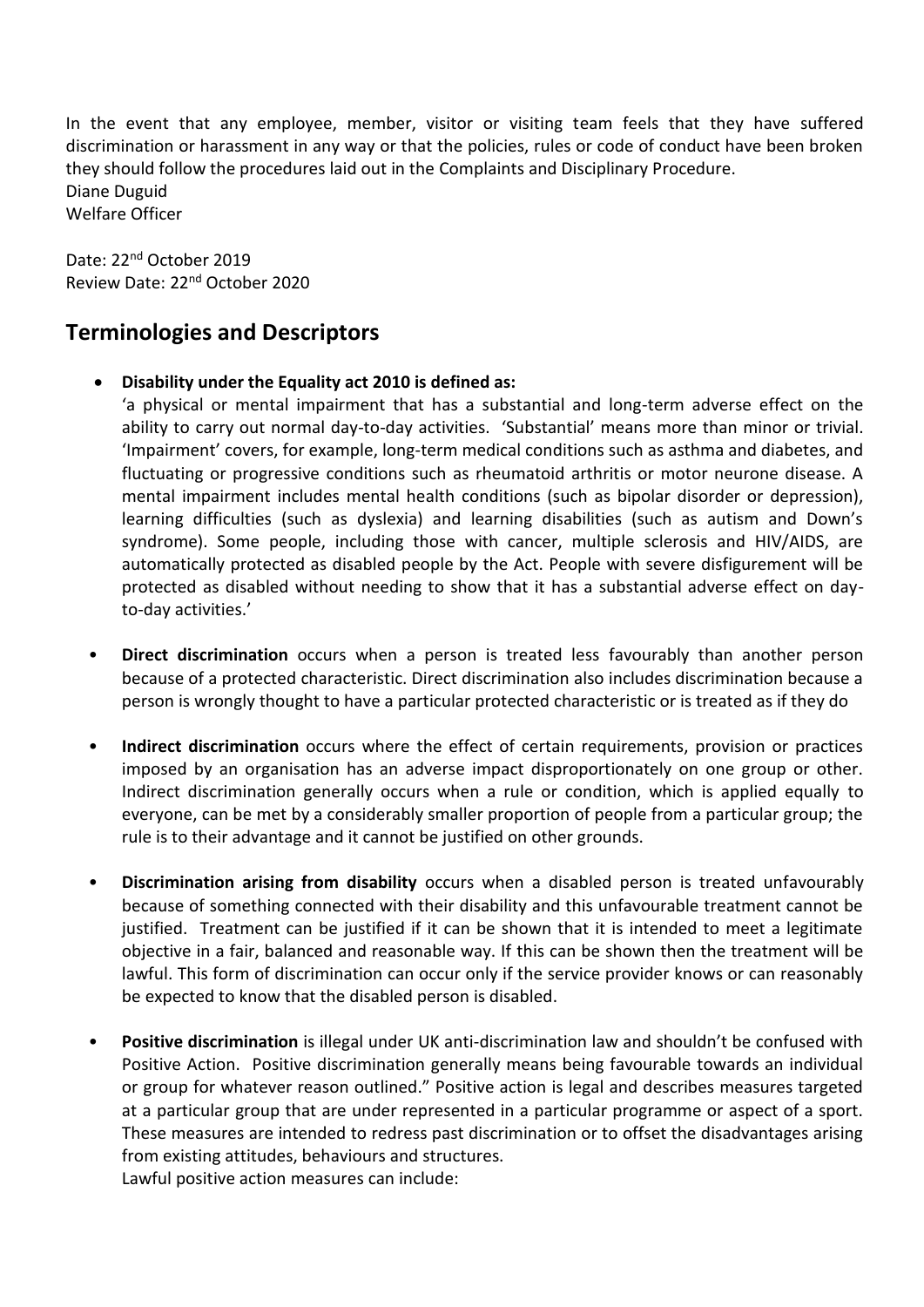In the event that any employee, member, visitor or visiting team feels that they have suffered discrimination or harassment in any way or that the policies, rules or code of conduct have been broken they should follow the procedures laid out in the Complaints and Disciplinary Procedure. Diane Duguid Welfare Officer

Date: 22nd October 2019 Review Date: 22nd October 2020

## **Terminologies and Descriptors**

**Disability under the Equality act 2010 is defined as:**

'a physical or mental impairment that has a substantial and long-term adverse effect on the ability to carry out normal day-to-day activities. 'Substantial' means more than minor or trivial. 'Impairment' covers, for example, long-term medical conditions such as asthma and diabetes, and fluctuating or progressive conditions such as rheumatoid arthritis or motor neurone disease. A mental impairment includes mental health conditions (such as bipolar disorder or depression), learning difficulties (such as dyslexia) and learning disabilities (such as autism and Down's syndrome). Some people, including those with cancer, multiple sclerosis and HIV/AIDS, are automatically protected as disabled people by the Act. People with severe disfigurement will be protected as disabled without needing to show that it has a substantial adverse effect on dayto-day activities.'

- **Direct discrimination** occurs when a person is treated less favourably than another person because of a protected characteristic. Direct discrimination also includes discrimination because a person is wrongly thought to have a particular protected characteristic or is treated as if they do
- **Indirect discrimination** occurs where the effect of certain requirements, provision or practices imposed by an organisation has an adverse impact disproportionately on one group or other. Indirect discrimination generally occurs when a rule or condition, which is applied equally to everyone, can be met by a considerably smaller proportion of people from a particular group; the rule is to their advantage and it cannot be justified on other grounds.
- **Discrimination arising from disability** occurs when a disabled person is treated unfavourably because of something connected with their disability and this unfavourable treatment cannot be justified. Treatment can be justified if it can be shown that it is intended to meet a legitimate objective in a fair, balanced and reasonable way. If this can be shown then the treatment will be lawful. This form of discrimination can occur only if the service provider knows or can reasonably be expected to know that the disabled person is disabled.
- **Positive discrimination** is illegal under UK anti-discrimination law and shouldn't be confused with Positive Action. Positive discrimination generally means being favourable towards an individual or group for whatever reason outlined." Positive action is legal and describes measures targeted at a particular group that are under represented in a particular programme or aspect of a sport. These measures are intended to redress past discrimination or to offset the disadvantages arising from existing attitudes, behaviours and structures.

Lawful positive action measures can include: